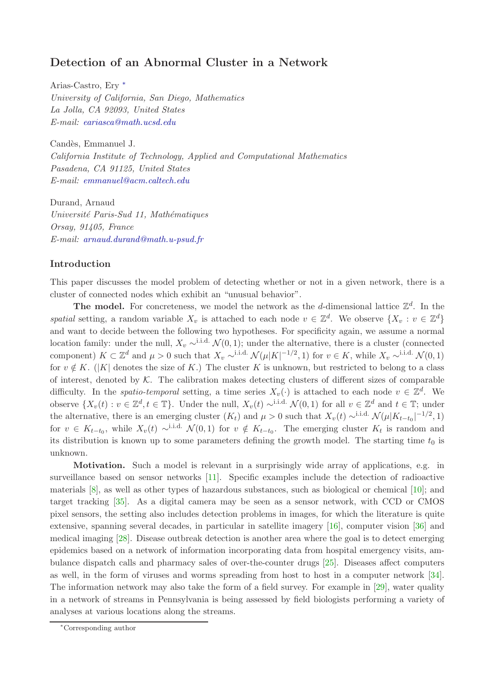# Detection of an Abnormal Cluster in a Network

Arias-Castro, Ery [∗](#page-0-0) *University of California, San Diego, Mathematics La Jolla, CA 92093, United States E-mail: [eariasca@math.ucsd.edu](mailto:eariasca@math.ucsd.edu)*

Candès, Emmanuel J. *California Institute of Technology, Applied and Computational Mathematics Pasadena, CA 91125, United States E-mail: [emmanuel@acm.caltech.edu](mailto:emmanuel@acm.caltech.edu)*

Durand, Arnaud *Universit´e Paris-Sud 11, Math´ematiques Orsay, 91405, France E-mail: [arnaud.durand@math.u-psud.fr](mailto:arnaud.durand@math.u-psud.fr)*

## Introduction

This paper discusses the model problem of detecting whether or not in a given network, there is a cluster of connected nodes which exhibit an "unusual behavior".

The model. For concreteness, we model the network as the d-dimensional lattice  $\mathbb{Z}^d$ . In the spatial setting, a random variable  $X_v$  is attached to each node  $v \in \mathbb{Z}^d$ . We observe  $\{X_v : v \in \mathbb{Z}^d\}$ and want to decide between the following two hypotheses. For specificity again, we assume a normal location family: under the null,  $X_v \sim$ <sup>i.i.d.</sup>  $\mathcal{N}(0, 1)$ ; under the alternative, there is a cluster (connected component)  $K \subset \mathbb{Z}^d$  and  $\mu > 0$  such that  $X_v \sim^{i.i.d.} \mathcal{N}(\mu|K|^{-1/2}, 1)$  for  $v \in K$ , while  $X_v \sim^{i.i.d.} \mathcal{N}(0, 1)$ for  $v \notin K$ . (|K| denotes the size of K.) The cluster K is unknown, but restricted to belong to a class of interest, denoted by  $K$ . The calibration makes detecting clusters of different sizes of comparable difficulty. In the *spatio-temporal* setting, a time series  $X_v(\cdot)$  is attached to each node  $v \in \mathbb{Z}^d$ . We observe  $\{X_v(t): v \in \mathbb{Z}^d, t \in \mathbb{T}\}$ . Under the null,  $X_v(t) \sim^{i.i.d.} \mathcal{N}(0,1)$  for all  $v \in \mathbb{Z}^d$  and  $t \in \mathbb{T}$ ; under the alternative, there is an emerging cluster  $(K_t)$  and  $\mu > 0$  such that  $X_v(t) \sim^{i.i.d.} \mathcal{N}(\mu | K_{t-t_0}|^{-1/2}, 1)$ for  $v \in K_{t-t_0}$ , while  $X_v(t) \sim$ <sup>i.i.d.</sup>  $\mathcal{N}(0,1)$  for  $v \notin K_{t-t_0}$ . The emerging cluster  $K_t$  is random and its distribution is known up to some parameters defining the growth model. The starting time  $t_0$  is unknown.

Motivation. Such a model is relevant in a surprisingly wide array of applications, e.g. in surveillance based on sensor networks [\[11\]](#page-6-0). Specific examples include the detection of radioactive materials [\[8\]](#page-6-1), as well as other types of hazardous substances, such as biological or chemical [\[10\]](#page-6-2); and target tracking [\[35\]](#page-7-0). As a digital camera may be seen as a sensor network, with CCD or CMOS pixel sensors, the setting also includes detection problems in images, for which the literature is quite extensive, spanning several decades, in particular in satellite imagery [\[16\]](#page-6-3), computer vision [\[36\]](#page-7-1) and medical imaging [\[28\]](#page-7-2). Disease outbreak detection is another area where the goal is to detect emerging epidemics based on a network of information incorporating data from hospital emergency visits, ambulance dispatch calls and pharmacy sales of over-the-counter drugs [\[25\]](#page-7-3). Diseases affect computers as well, in the form of viruses and worms spreading from host to host in a computer network [\[34\]](#page-7-4). The information network may also take the form of a field survey. For example in [\[29\]](#page-7-5), water quality in a network of streams in Pennsylvania is being assessed by field biologists performing a variety of analyses at various locations along the streams.

<span id="page-0-0"></span><sup>∗</sup>Corresponding author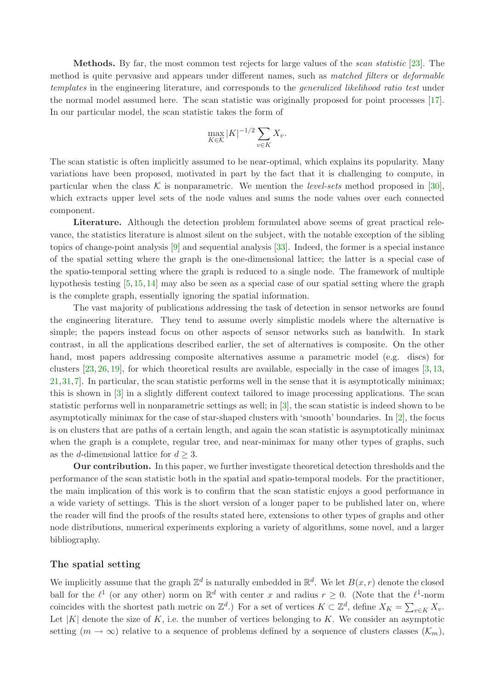Methods. By far, the most common test rejects for large values of the *scan statistic* [\[23\]](#page-7-6). The method is quite pervasive and appears under different names, such as *matched filters* or *deformable templates* in the engineering literature, and corresponds to the *generalized likelihood ratio test* under the normal model assumed here. The scan statistic was originally proposed for point processes [\[17\]](#page-6-4). In our particular model, the scan statistic takes the form of

$$
\max_{K \in \mathcal{K}} |K|^{-1/2} \sum_{v \in K} X_v.
$$

The scan statistic is often implicitly assumed to be near-optimal, which explains its popularity. Many variations have been proposed, motivated in part by the fact that it is challenging to compute, in particular when the class  $K$  is nonparametric. We mention the *level-sets* method proposed in [\[30\]](#page-7-7), which extracts upper level sets of the node values and sums the node values over each connected component.

Literature. Although the detection problem formulated above seems of great practical relevance, the statistics literature is almost silent on the subject, with the notable exception of the sibling topics of change-point analysis [\[9\]](#page-6-5) and sequential analysis [\[33\]](#page-7-8). Indeed, the former is a special instance of the spatial setting where the graph is the one-dimensional lattice; the latter is a special case of the spatio-temporal setting where the graph is reduced to a single node. The framework of multiple hypothesis testing [\[5,](#page-6-6) [15,](#page-6-7) [14\]](#page-6-8) may also be seen as a special case of our spatial setting where the graph is the complete graph, essentially ignoring the spatial information.

The vast majority of publications addressing the task of detection in sensor networks are found the engineering literature. They tend to assume overly simplistic models where the alternative is simple; the papers instead focus on other aspects of sensor networks such as bandwith. In stark contrast, in all the applications described earlier, the set of alternatives is composite. On the other hand, most papers addressing composite alternatives assume a parametric model (e.g. discs) for clusters [\[23,](#page-7-6) [26,](#page-7-9) [19\]](#page-6-9), for which theoretical results are available, especially in the case of images [\[3,](#page-6-10) [13,](#page-6-11) [21,](#page-7-10)[31,](#page-7-11)[7\]](#page-6-12). In particular, the scan statistic performs well in the sense that it is asymptotically minimax; this is shown in [\[3\]](#page-6-10) in a slightly different context tailored to image processing applications. The scan statistic performs well in nonparametric settings as well; in [\[3\]](#page-6-10), the scan statistic is indeed shown to be asymptotically minimax for the case of star-shaped clusters with 'smooth' boundaries. In [\[2\]](#page-6-13), the focus is on clusters that are paths of a certain length, and again the scan statistic is asymptotically minimax when the graph is a complete, regular tree, and near-minimax for many other types of graphs, such as the *d*-dimensional lattice for  $d \geq 3$ .

Our contribution. In this paper, we further investigate theoretical detection thresholds and the performance of the scan statistic both in the spatial and spatio-temporal models. For the practitioner, the main implication of this work is to confirm that the scan statistic enjoys a good performance in a wide variety of settings. This is the short version of a longer paper to be published later on, where the reader will find the proofs of the results stated here, extensions to other types of graphs and other node distributions, numerical experiments exploring a variety of algorithms, some novel, and a larger bibliography.

## The spatial setting

We implicitly assume that the graph  $\mathbb{Z}^d$  is naturally embedded in  $\mathbb{R}^d$ . We let  $B(x,r)$  denote the closed ball for the  $\ell^1$  (or any other) norm on  $\mathbb{R}^d$  with center x and radius  $r \geq 0$ . (Note that the  $\ell^1$ -norm coincides with the shortest path metric on  $\mathbb{Z}^d$ .) For a set of vertices  $K \subset \mathbb{Z}^d$ , define  $X_K = \sum_{v \in K} X_v$ . Let  $|K|$  denote the size of K, i.e. the number of vertices belonging to K. We consider an asymptotic setting  $(m \to \infty)$  relative to a sequence of problems defined by a sequence of clusters classes  $(\mathcal{K}_m)$ ,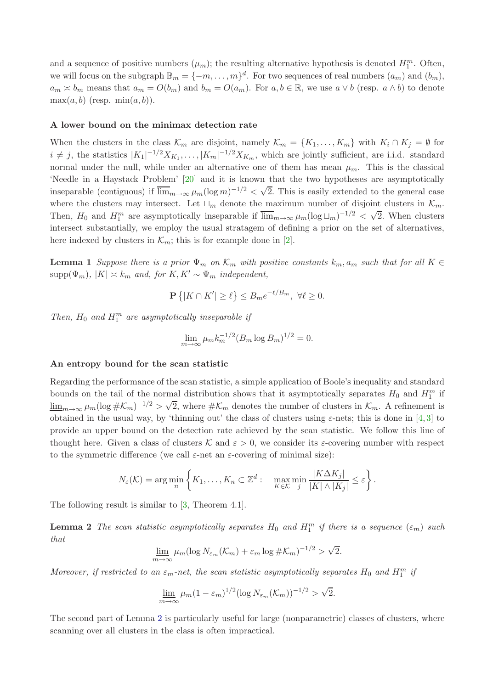and a sequence of positive numbers  $(\mu_m)$ ; the resulting alternative hypothesis is denoted  $H_1^m$ . Often, we will focus on the subgraph  $\mathbb{B}_m = \{-m, \ldots, m\}^d$ . For two sequences of real numbers  $(a_m)$  and  $(b_m)$ ,  $a_m \approx b_m$  means that  $a_m = O(b_m)$  and  $b_m = O(a_m)$ . For  $a, b \in \mathbb{R}$ , we use  $a \vee b$  (resp.  $a \wedge b$ ) to denote  $\max(a, b)$  (resp.  $\min(a, b)$ ).

#### A lower bound on the minimax detection rate

When the clusters in the class  $\mathcal{K}_m$  are disjoint, namely  $\mathcal{K}_m = \{K_1, \ldots, K_m\}$  with  $K_i \cap K_j = \emptyset$  for  $i \neq j$ , the statistics  $|K_1|^{-1/2}X_{K_1}, \ldots, |K_m|^{-1/2}X_{K_m}$ , which are jointly sufficient, are i.i.d. standard normal under the null, while under an alternative one of them has mean  $\mu_m$ . This is the classical 'Needle in a Haystack Problem' [\[20\]](#page-7-12) and it is known that the two hypotheses are asymptotically inseparable (contiguous) if  $\overline{\lim}_{m\to\infty} \mu_m(\log m)^{-1/2} < \sqrt{2}$ . This is easily extended to the general case where the clusters may intersect. Let  $\sqcup_m$  denote the maximum number of disjoint clusters in  $\mathcal{K}_m$ . Then,  $H_0$  and  $H_1^m$  are asymptotically inseparable if  $\overline{\lim}_{m\to\infty} \mu_m (\log \sqcup_m)^{-1/2} < \sqrt{2}$ . When clusters intersect substantially, we employ the usual stratagem of defining a prior on the set of alternatives, here indexed by clusters in  $\mathcal{K}_m$ ; this is for example done in [\[2\]](#page-6-13).

**Lemma 1** *Suppose there is a prior*  $\Psi_m$  *on*  $\mathcal{K}_m$  *with positive constants*  $k_m$ ,  $a_m$  *such that for all*  $K \in$  $supp(\Psi_m)$ ,  $|K| \approx k_m$  *and, for*  $K, K' \sim \Psi_m$  *independent,* 

$$
\mathbf{P}\left\{|K\cap K'|\geq \ell\right\} \leq B_m e^{-\ell/B_m}, \ \forall \ell\geq 0.
$$

Then,  $H_0$  and  $H_1^m$  are asymptotically inseparable if

$$
\lim_{m \to \infty} \mu_m k_m^{-1/2} (B_m \log B_m)^{1/2} = 0.
$$

#### An entropy bound for the scan statistic

Regarding the performance of the scan statistic, a simple application of Boole's inequality and standard bounds on the tail of the normal distribution shows that it asymptotically separates  $H_0$  and  $H_1^m$  if  $\underline{\lim}_{m\to\infty}\mu_m(\log\#K_m)^{-1/2} > \sqrt{2}$ , where  $\#K_m$  denotes the number of clusters in  $\mathcal{K}_m$ . A refinement is obtained in the usual way, by 'thinning out' the class of clusters using  $\varepsilon$ -nets; this is done in [\[4,](#page-6-14)[3\]](#page-6-10) to provide an upper bound on the detection rate achieved by the scan statistic. We follow this line of thought here. Given a class of clusters K and  $\varepsilon > 0$ , we consider its *ε*-covering number with respect to the symmetric difference (we call  $\varepsilon$ -net an  $\varepsilon$ -covering of minimal size):

$$
N_{\varepsilon}(\mathcal{K}) = \arg\min_{n} \left\{ K_1, \ldots, K_n \subset \mathbb{Z}^d : \quad \max_{K \in \mathcal{K}} \min_{j} \frac{|K\Delta K_j|}{|K| \wedge |K_j|} \leq \varepsilon \right\}.
$$

<span id="page-2-0"></span>The following result is similar to [\[3,](#page-6-10) Theorem 4.1].

**Lemma 2** *The scan statistic asymptotically separates*  $H_0$  *and*  $H_1^m$  *if there is a sequence*  $(\epsilon_m)$  *such that*

$$
\underline{\lim}_{m \to \infty} \mu_m(\log N_{\varepsilon_m}(\mathcal{K}_m) + \varepsilon_m \log \# \mathcal{K}_m)^{-1/2} > \sqrt{2}.
$$

*Moreover, if restricted to an*  $\varepsilon_m$ -net, the scan statistic asymptotically separates  $H_0$  and  $H_1^m$  if

$$
\lim_{m \to \infty} \mu_m (1 - \varepsilon_m)^{1/2} (\log N_{\varepsilon_m}(\mathcal{K}_m))^{-1/2} > \sqrt{2}.
$$

The second part of Lemma [2](#page-2-0) is particularly useful for large (nonparametric) classes of clusters, where scanning over all clusters in the class is often impractical.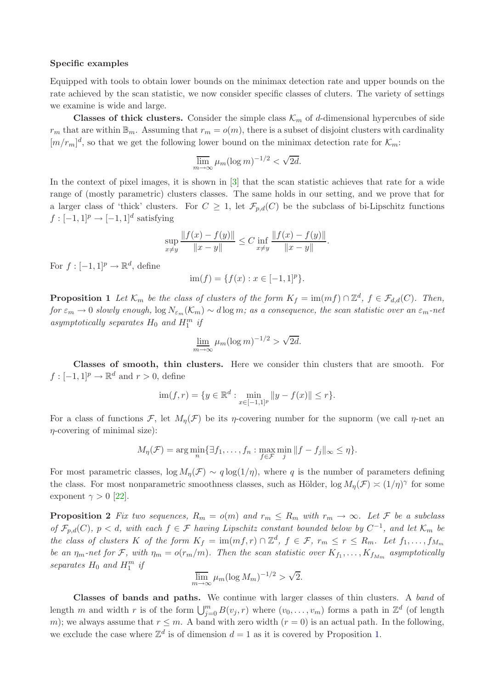#### Specific examples

Equipped with tools to obtain lower bounds on the minimax detection rate and upper bounds on the rate achieved by the scan statistic, we now consider specific classes of cluters. The variety of settings we examine is wide and large.

**Classes of thick clusters.** Consider the simple class  $\mathcal{K}_m$  of d-dimensional hypercubes of side  $r_m$  that are within  $\mathbb{B}_m$ . Assuming that  $r_m = o(m)$ , there is a subset of disjoint clusters with cardinality  $[m/r_m]^d$ , so that we get the following lower bound on the minimax detection rate for  $\mathcal{K}_m$ :

$$
\overline{\lim}_{m \to \infty} \mu_m (\log m)^{-1/2} < \sqrt{2d}.
$$

In the context of pixel images, it is shown in [\[3\]](#page-6-10) that the scan statistic achieves that rate for a wide range of (mostly parametric) clusters classes. The same holds in our setting, and we prove that for a larger class of 'thick' clusters. For  $C \geq 1$ , let  $\mathcal{F}_{p,d}(C)$  be the subclass of bi-Lipschitz functions  $f: [-1, 1]^p \rightarrow [-1, 1]^d$  satisfying

$$
\sup_{x \neq y} \frac{\|f(x) - f(y)\|}{\|x - y\|} \leq C \inf_{x \neq y} \frac{\|f(x) - f(y)\|}{\|x - y\|}.
$$

For  $f: [-1,1]^p \to \mathbb{R}^d$ , define

 $\text{im}(f) = \{f(x) : x \in [-1,1]^p\}.$ 

<span id="page-3-0"></span>**Proposition 1** Let  $\mathcal{K}_m$  be the class of clusters of the form  $K_f = \text{im}(mf) \cap \mathbb{Z}^d$ ,  $f \in \mathcal{F}_{d,d}(C)$ . Then, *for*  $\varepsilon_m \to 0$  *slowly enough,* log  $N_{\varepsilon_m}(\mathcal{K}_m) \sim d \log m$ ; as a consequence, the scan statistic over an  $\varepsilon_m$ -net  $asymptotically \; separates \; H_0 \; and \; H_1^m \; \it{if}$ 

$$
\lim_{m \to \infty} \mu_m(\log m)^{-1/2} > \sqrt{2d}.
$$

Classes of smooth, thin clusters. Here we consider thin clusters that are smooth. For  $f: [-1, 1]^p \to \mathbb{R}^d$  and  $r > 0$ , define

$$
\text{im}(f,r) = \{ y \in \mathbb{R}^d : \min_{x \in [-1,1]^p} \|y - f(x)\| \le r \}.
$$

For a class of functions F, let  $M_n(\mathcal{F})$  be its *η*-covering number for the supnorm (we call *η*-net an  $\eta$ -covering of minimal size):

$$
M_{\eta}(\mathcal{F}) = \arg\min_{n} \{ \exists f_1, \dots, f_n : \max_{f \in \mathcal{F}} \min_{j} ||f - f_j||_{\infty} \leq \eta \}.
$$

For most parametric classes,  $\log M_n(\mathcal{F}) \sim q \log(1/\eta)$ , where q is the number of parameters defining the class. For most nonparametric smoothness classes, such as Hölder,  $\log M_\eta(\mathcal{F}) \approx (1/\eta)^\gamma$  for some exponent  $\gamma > 0$  [\[22\]](#page-7-13).

**Proposition 2** Fix two sequences,  $R_m = o(m)$  and  $r_m \le R_m$  with  $r_m \to \infty$ . Let F be a subclass *of*  $\mathcal{F}_{p,d}(C)$ ,  $p < d$ , with each  $f \in \mathcal{F}$  *having Lipschitz constant bounded below by*  $C^{-1}$ , and let  $\mathcal{K}_m$  be *the class of clusters* K *of the form*  $K_f = \text{im}(mf, r) \cap \mathbb{Z}^d$ ,  $f \in \mathcal{F}$ ,  $r_m \leq r \leq R_m$ . Let  $f_1, \ldots, f_{M_m}$ *be an*  $\eta_m$ -net for F, with  $\eta_m = o(r_m/m)$ . Then the scan statistic over  $K_{f_1}, \ldots, K_{f_{M_m}}$  asymptotically separates  $H_0$  and  $H_1^m$  if

$$
\overline{\lim}_{m \to \infty} \mu_m (\log M_m)^{-1/2} > \sqrt{2}.
$$

Classes of bands and paths. We continue with larger classes of thin clusters. A *band* of length m and width r is of the form  $\bigcup_{j=0}^{m} B(v_j, r)$  where  $(v_0, \ldots, v_m)$  forms a path in  $\mathbb{Z}^d$  (of length m); we always assume that  $r \leq m$ . A band with zero width  $(r = 0)$  is an actual path. In the following, we exclude the case where  $\mathbb{Z}^d$  is of dimension  $d=1$  as it is covered by Proposition [1.](#page-3-0)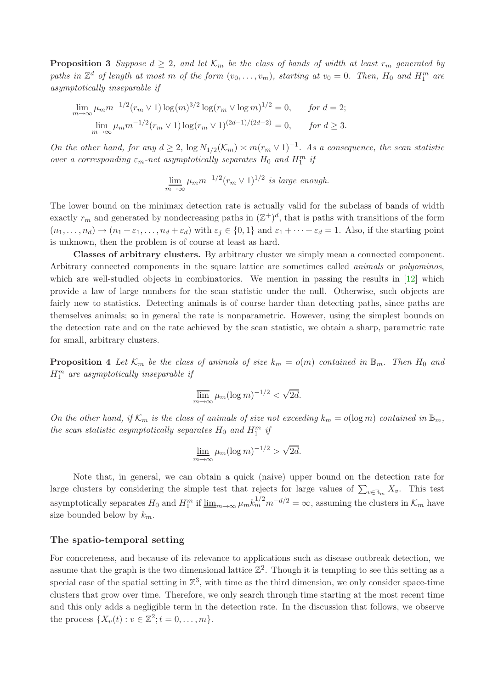**Proposition 3** Suppose  $d \geq 2$ , and let  $\mathcal{K}_m$  be the class of bands of width at least  $r_m$  generated by paths in  $\mathbb{Z}^d$  of length at most m of the form  $(v_0, \ldots, v_m)$ , starting at  $v_0 = 0$ . Then,  $H_0$  and  $H_1^m$  are *asymptotically inseparable if*

$$
\lim_{m \to \infty} \mu_m m^{-1/2} (r_m \vee 1) \log(m)^{3/2} \log(r_m \vee \log m)^{1/2} = 0, \quad \text{for } d = 2;
$$
  

$$
\lim_{m \to \infty} \mu_m m^{-1/2} (r_m \vee 1) \log(r_m \vee 1)^{(2d-1)/(2d-2)} = 0, \quad \text{for } d \ge 3.
$$

*On the other hand, for any*  $d \geq 2$ ,  $\log N_{1/2}(\mathcal{K}_m) \asymp m(r_m \vee 1)^{-1}$ . As a consequence, the scan statistic *over a corresponding*  $\varepsilon_m$ -net asymptotically separates  $H_0$  and  $H_1^m$  if

$$
\lim_{m \to \infty} \mu_m m^{-1/2} (r_m \vee 1)^{1/2}
$$
 is large enough.

The lower bound on the minimax detection rate is actually valid for the subclass of bands of width exactly  $r_m$  and generated by nondecreasing paths in  $(\mathbb{Z}^+)^d$ , that is paths with transitions of the form  $(n_1, \ldots, n_d) \to (n_1 + \varepsilon_1, \ldots, n_d + \varepsilon_d)$  with  $\varepsilon_i \in \{0, 1\}$  and  $\varepsilon_1 + \cdots + \varepsilon_d = 1$ . Also, if the starting point is unknown, then the problem is of course at least as hard.

Classes of arbitrary clusters. By arbitrary cluster we simply mean a connected component. Arbitrary connected components in the square lattice are sometimes called *animals* or *polyominos*, which are well-studied objects in combinatorics. We mention in passing the results in [\[12\]](#page-6-15) which provide a law of large numbers for the scan statistic under the null. Otherwise, such objects are fairly new to statistics. Detecting animals is of course harder than detecting paths, since paths are themselves animals; so in general the rate is nonparametric. However, using the simplest bounds on the detection rate and on the rate achieved by the scan statistic, we obtain a sharp, parametric rate for small, arbitrary clusters.

**Proposition 4** Let  $\mathcal{K}_m$  be the class of animals of size  $k_m = o(m)$  contained in  $\mathbb{B}_m$ . Then  $H_0$  and H<sup>m</sup> 1 *are asymptotically inseparable if*

$$
\overline{\lim}_{m \to \infty} \mu_m (\log m)^{-1/2} < \sqrt{2d}.
$$

*On the other hand, if*  $K_m$  *is the class of animals of size not exceeding*  $k_m = o(\log m)$  *contained in*  $\mathbb{B}_m$ *, the scan statistic asymptotically separates*  $H_0$  *and*  $H_1^m$  *if* 

$$
\lim_{m \to \infty} \mu_m(\log m)^{-1/2} > \sqrt{2d}.
$$

Note that, in general, we can obtain a quick (naive) upper bound on the detection rate for large clusters by considering the simple test that rejects for large values of  $\sum_{v \in \mathbb{B}_m} X_v$ . This test asymptotically separates  $H_0$  and  $H_1^m$  if  $\underline{\lim}_{m\to\infty}\mu_m k_m^{1/2}m^{-d/2}=\infty$ , assuming the clusters in  $\mathcal{K}_m$  have size bounded below by  $k_m$ .

#### The spatio-temporal setting

For concreteness, and because of its relevance to applications such as disease outbreak detection, we assume that the graph is the two dimensional lattice  $\mathbb{Z}^2$ . Though it is tempting to see this setting as a special case of the spatial setting in  $\mathbb{Z}^3$ , with time as the third dimension, we only consider space-time clusters that grow over time. Therefore, we only search through time starting at the most recent time and this only adds a negligible term in the detection rate. In the discussion that follows, we observe the process  $\{X_v(t) : v \in \mathbb{Z}^2; t = 0, ..., m\}.$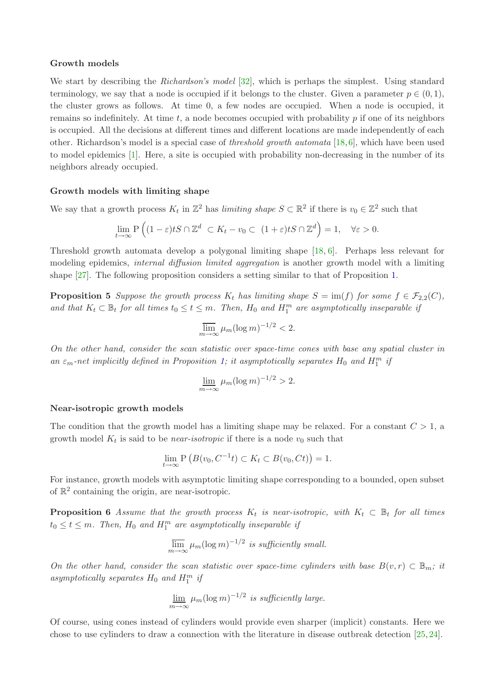#### Growth models

We start by describing the *Richardson's model* [\[32\]](#page-7-14), which is perhaps the simplest. Using standard terminology, we say that a node is occupied if it belongs to the cluster. Given a parameter  $p \in (0, 1)$ , the cluster grows as follows. At time 0, a few nodes are occupied. When a node is occupied, it remains so indefinitely. At time t, a node becomes occupied with probability  $p$  if one of its neighbors is occupied. All the decisions at different times and different locations are made independently of each other. Richardson's model is a special case of *threshold growth automata* [\[18,](#page-6-16)[6\]](#page-6-17), which have been used to model epidemics [\[1\]](#page-6-18). Here, a site is occupied with probability non-decreasing in the number of its neighbors already occupied.

## Growth models with limiting shape

We say that a growth process  $K_t$  in  $\mathbb{Z}^2$  has *limiting shape*  $S \subset \mathbb{R}^2$  if there is  $v_0 \in \mathbb{Z}^2$  such that

$$
\lim_{t \to \infty} \mathbf{P}\left( (1-\varepsilon)tS \cap \mathbb{Z}^d \subset K_t - v_0 \subset (1+\varepsilon)tS \cap \mathbb{Z}^d \right) = 1, \quad \forall \varepsilon > 0.
$$

Threshold growth automata develop a polygonal limiting shape [\[18,](#page-6-16) [6\]](#page-6-17). Perhaps less relevant for modeling epidemics, *internal diffusion limited aggregation* is another growth model with a limiting shape [\[27\]](#page-7-15). The following proposition considers a setting similar to that of Proposition [1.](#page-3-0)

**Proposition 5** *Suppose the growth process*  $K_t$  *has limiting shape*  $S = \text{im}(f)$  *for some*  $f \in \mathcal{F}_{2,2}(C)$ *,* and that  $K_t \subset \mathbb{B}_t$  for all times  $t_0 \leq t \leq m$ . Then,  $H_0$  and  $H_1^m$  are asymptotically inseparable if

$$
\overline{\lim}_{m \to \infty} \mu_m (\log m)^{-1/2} < 2.
$$

*On the other hand, consider the scan statistic over space-time cones with base any spatial cluster in an*  $\varepsilon_m$ -net implicitly defined in Proposition [1;](#page-3-0) it asymptotically separates  $H_0$  and  $H_1^m$  if

$$
\lim_{m \to \infty} \mu_m (\log m)^{-1/2} > 2.
$$

### Near-isotropic growth models

The condition that the growth model has a limiting shape may be relaxed. For a constant  $C > 1$ , a growth model  $K_t$  is said to be *near-isotropic* if there is a node  $v_0$  such that

$$
\lim_{t \to \infty} P\left(B(v_0, C^{-1}t) \subset K_t \subset B(v_0, Ct)\right) = 1.
$$

For instance, growth models with asymptotic limiting shape corresponding to a bounded, open subset of  $\mathbb{R}^2$  containing the origin, are near-isotropic.

**Proposition 6** Assume that the growth process  $K_t$  is near-isotropic, with  $K_t \subset \mathbb{B}_t$  for all times  $t_0 \leq t \leq m$ . Then,  $H_0$  and  $H_1^m$  are asymptotically inseparable if

$$
\overline{\lim}_{m \to \infty} \mu_m(\log m)^{-1/2} \text{ is sufficiently small.}
$$

*On the other hand, consider the scan statistic over space-time cylinders with base*  $B(v,r) \subset \mathbb{B}_m$ ; it  $asymptotically \; separates \; H_0 \; and \; H_1^m \; \it{ij}$ 

$$
\lim_{m \to \infty} \mu_m(\log m)^{-1/2}
$$
 is sufficiently large.

Of course, using cones instead of cylinders would provide even sharper (implicit) constants. Here we chose to use cylinders to draw a connection with the literature in disease outbreak detection [\[25,](#page-7-3) [24\]](#page-7-16).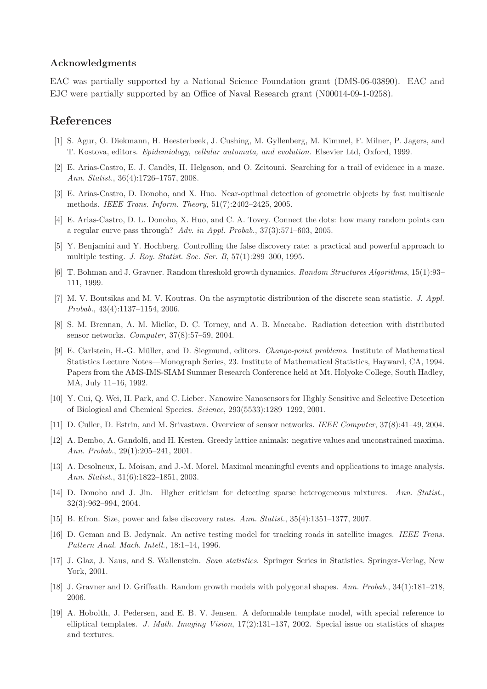### Acknowledgments

EAC was partially supported by a National Science Foundation grant (DMS-06-03890). EAC and EJC were partially supported by an Office of Naval Research grant (N00014-09-1-0258).

## <span id="page-6-18"></span>References

- <span id="page-6-13"></span>[1] S. Agur, O. Diekmann, H. Heesterbeek, J. Cushing, M. Gyllenberg, M. Kimmel, F. Milner, P. Jagers, and T. Kostova, editors. *Epidemiology, cellular automata, and evolution*. Elsevier Ltd, Oxford, 1999.
- <span id="page-6-10"></span>[2] E. Arias-Castro, E. J. Cand`es, H. Helgason, and O. Zeitouni. Searching for a trail of evidence in a maze. *Ann. Statist.*, 36(4):1726–1757, 2008.
- <span id="page-6-14"></span>[3] E. Arias-Castro, D. Donoho, and X. Huo. Near-optimal detection of geometric objects by fast multiscale methods. *IEEE Trans. Inform. Theory*, 51(7):2402–2425, 2005.
- <span id="page-6-6"></span>[4] E. Arias-Castro, D. L. Donoho, X. Huo, and C. A. Tovey. Connect the dots: how many random points can a regular curve pass through? *Adv. in Appl. Probab.*, 37(3):571–603, 2005.
- <span id="page-6-17"></span>[5] Y. Benjamini and Y. Hochberg. Controlling the false discovery rate: a practical and powerful approach to multiple testing. *J. Roy. Statist. Soc. Ser. B*, 57(1):289–300, 1995.
- <span id="page-6-12"></span>[6] T. Bohman and J. Gravner. Random threshold growth dynamics. *Random Structures Algorithms*, 15(1):93– 111, 1999.
- <span id="page-6-1"></span>[7] M. V. Boutsikas and M. V. Koutras. On the asymptotic distribution of the discrete scan statistic. *J. Appl. Probab.*, 43(4):1137–1154, 2006.
- <span id="page-6-5"></span>[8] S. M. Brennan, A. M. Mielke, D. C. Torney, and A. B. Maccabe. Radiation detection with distributed sensor networks. *Computer*, 37(8):57–59, 2004.
- [9] E. Carlstein, H.-G. M¨uller, and D. Siegmund, editors. *Change-point problems*. Institute of Mathematical Statistics Lecture Notes—Monograph Series, 23. Institute of Mathematical Statistics, Hayward, CA, 1994. Papers from the AMS-IMS-SIAM Summer Research Conference held at Mt. Holyoke College, South Hadley, MA, July 11–16, 1992.
- <span id="page-6-2"></span>[10] Y. Cui, Q. Wei, H. Park, and C. Lieber. Nanowire Nanosensors for Highly Sensitive and Selective Detection of Biological and Chemical Species. *Science*, 293(5533):1289–1292, 2001.
- <span id="page-6-15"></span><span id="page-6-0"></span>[11] D. Culler, D. Estrin, and M. Srivastava. Overview of sensor networks. *IEEE Computer*, 37(8):41–49, 2004.
- [12] A. Dembo, A. Gandolfi, and H. Kesten. Greedy lattice animals: negative values and unconstrained maxima. *Ann. Probab.*, 29(1):205–241, 2001.
- <span id="page-6-11"></span>[13] A. Desolneux, L. Moisan, and J.-M. Morel. Maximal meaningful events and applications to image analysis. *Ann. Statist.*, 31(6):1822–1851, 2003.
- <span id="page-6-8"></span>[14] D. Donoho and J. Jin. Higher criticism for detecting sparse heterogeneous mixtures. *Ann. Statist.*, 32(3):962–994, 2004.
- <span id="page-6-7"></span><span id="page-6-3"></span>[15] B. Efron. Size, power and false discovery rates. *Ann. Statist.*, 35(4):1351–1377, 2007.
- [16] D. Geman and B. Jedynak. An active testing model for tracking roads in satellite images. *IEEE Trans. Pattern Anal. Mach. Intell.*, 18:1–14, 1996.
- <span id="page-6-4"></span>[17] J. Glaz, J. Naus, and S. Wallenstein. *Scan statistics*. Springer Series in Statistics. Springer-Verlag, New York, 2001.
- <span id="page-6-16"></span><span id="page-6-9"></span>[18] J. Gravner and D. Griffeath. Random growth models with polygonal shapes. *Ann. Probab.*, 34(1):181–218, 2006.
- [19] A. Hobolth, J. Pedersen, and E. B. V. Jensen. A deformable template model, with special reference to elliptical templates. *J. Math. Imaging Vision*, 17(2):131–137, 2002. Special issue on statistics of shapes and textures.